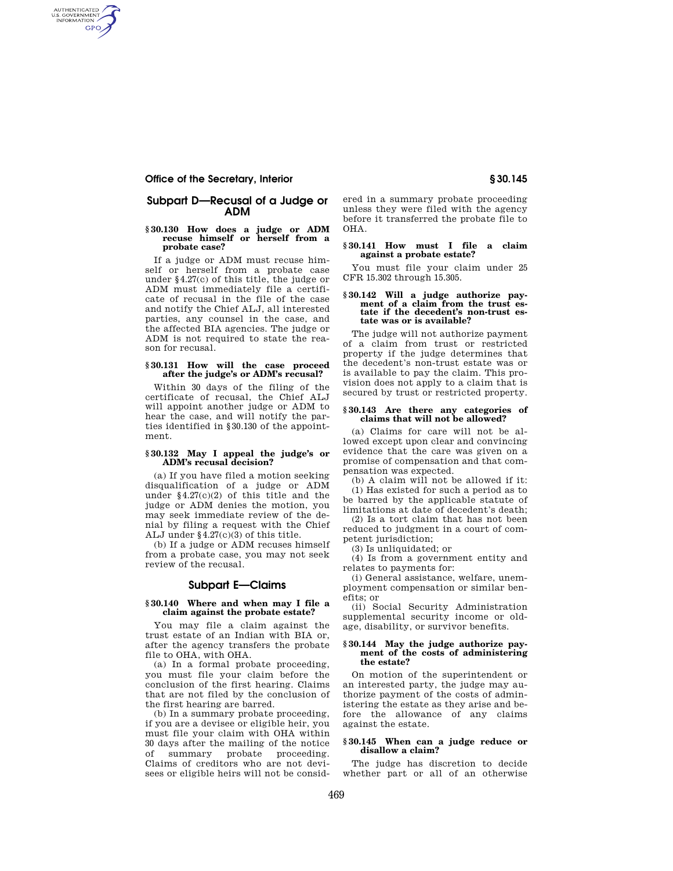# **Office of the Secretary, Interior § 30.145**

AUTHENTICATED<br>U.S. GOVERNMENT<br>INFORMATION **GPO** 

# **Subpart D—Recusal of a Judge or ADM**

#### **§ 30.130 How does a judge or ADM recuse himself or herself from a probate case?**

If a judge or ADM must recuse himself or herself from a probate case under §4.27(c) of this title, the judge or ADM must immediately file a certificate of recusal in the file of the case and notify the Chief ALJ, all interested parties, any counsel in the case, and the affected BIA agencies. The judge or ADM is not required to state the reason for recusal.

# **§ 30.131 How will the case proceed after the judge's or ADM's recusal?**

Within 30 days of the filing of the certificate of recusal, the Chief ALJ will appoint another judge or ADM to hear the case, and will notify the parties identified in §30.130 of the appointment.

# **§ 30.132 May I appeal the judge's or ADM's recusal decision?**

(a) If you have filed a motion seeking disqualification of a judge or ADM under §4.27(c)(2) of this title and the judge or ADM denies the motion, you may seek immediate review of the denial by filing a request with the Chief ALJ under §4.27(c)(3) of this title.

(b) If a judge or ADM recuses himself from a probate case, you may not seek review of the recusal.

# **Subpart E—Claims**

# **§ 30.140 Where and when may I file a claim against the probate estate?**

You may file a claim against the trust estate of an Indian with BIA or, after the agency transfers the probate file to OHA, with OHA.

(a) In a formal probate proceeding, you must file your claim before the conclusion of the first hearing. Claims that are not filed by the conclusion of the first hearing are barred.

(b) In a summary probate proceeding, if you are a devisee or eligible heir, you must file your claim with OHA within 30 days after the mailing of the notice of summary probate proceeding. Claims of creditors who are not devisees or eligible heirs will not be considered in a summary probate proceeding unless they were filed with the agency before it transferred the probate file to OHA.

#### **§ 30.141 How must I file a claim against a probate estate?**

You must file your claim under 25 CFR 15.302 through 15.305.

#### **§ 30.142 Will a judge authorize payment of a claim from the trust estate if the decedent's non-trust estate was or is available?**

The judge will not authorize payment of a claim from trust or restricted property if the judge determines that the decedent's non-trust estate was or is available to pay the claim. This provision does not apply to a claim that is secured by trust or restricted property.

#### **§ 30.143 Are there any categories of claims that will not be allowed?**

(a) Claims for care will not be allowed except upon clear and convincing evidence that the care was given on a promise of compensation and that compensation was expected.

(b) A claim will not be allowed if it: (1) Has existed for such a period as to be barred by the applicable statute of limitations at date of decedent's death;

(2) Is a tort claim that has not been reduced to judgment in a court of competent jurisdiction;

(3) Is unliquidated; or

(4) Is from a government entity and relates to payments for:

(i) General assistance, welfare, unemployment compensation or similar benefits; or

(ii) Social Security Administration supplemental security income or oldage, disability, or survivor benefits.

#### **§ 30.144 May the judge authorize payment of the costs of administering the estate?**

On motion of the superintendent or an interested party, the judge may authorize payment of the costs of administering the estate as they arise and before the allowance of any claims against the estate.

# **§ 30.145 When can a judge reduce or disallow a claim?**

The judge has discretion to decide whether part or all of an otherwise